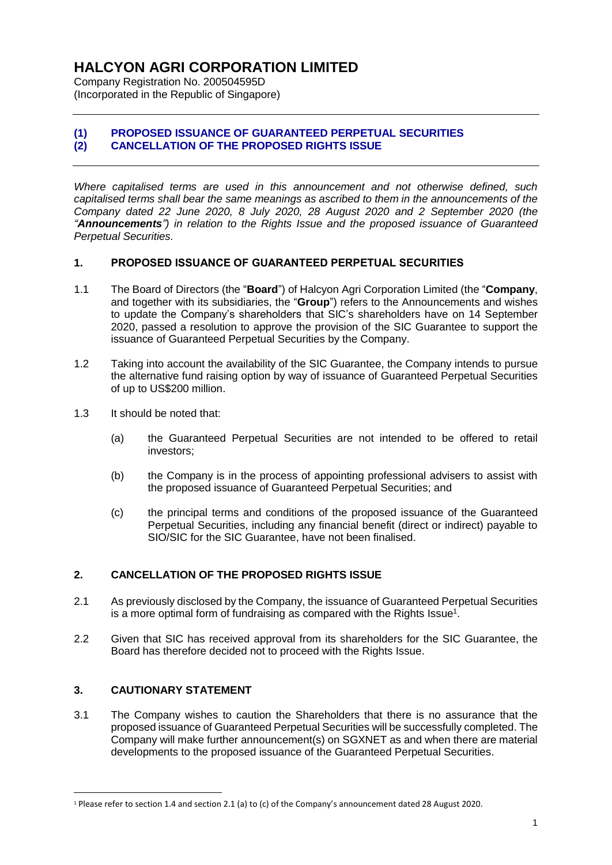# **HALCYON AGRI CORPORATION LIMITED**

Company Registration No. 200504595D (Incorporated in the Republic of Singapore)

## **(1) PROPOSED ISSUANCE OF GUARANTEED PERPETUAL SECURITIES (2) CANCELLATION OF THE PROPOSED RIGHTS ISSUE**

*Where capitalised terms are used in this announcement and not otherwise defined, such capitalised terms shall bear the same meanings as ascribed to them in the announcements of the Company dated 22 June 2020, 8 July 2020, 28 August 2020 and 2 September 2020 (the "Announcements") in relation to the Rights Issue and the proposed issuance of Guaranteed Perpetual Securities.*

#### **1. PROPOSED ISSUANCE OF GUARANTEED PERPETUAL SECURITIES**

- 1.1 The Board of Directors (the "**Board**") of Halcyon Agri Corporation Limited (the "**Company**, and together with its subsidiaries, the "**Group**") refers to the Announcements and wishes to update the Company's shareholders that SIC's shareholders have on 14 September 2020, passed a resolution to approve the provision of the SIC Guarantee to support the issuance of Guaranteed Perpetual Securities by the Company.
- 1.2 Taking into account the availability of the SIC Guarantee, the Company intends to pursue the alternative fund raising option by way of issuance of Guaranteed Perpetual Securities of up to US\$200 million.
- 1.3 It should be noted that:
	- (a) the Guaranteed Perpetual Securities are not intended to be offered to retail investors;
	- (b) the Company is in the process of appointing professional advisers to assist with the proposed issuance of Guaranteed Perpetual Securities; and
	- (c) the principal terms and conditions of the proposed issuance of the Guaranteed Perpetual Securities, including any financial benefit (direct or indirect) payable to SIO/SIC for the SIC Guarantee, have not been finalised.

## **2. CANCELLATION OF THE PROPOSED RIGHTS ISSUE**

- 2.1 As previously disclosed by the Company, the issuance of Guaranteed Perpetual Securities is a more optimal form of fundraising as compared with the Rights Issue<sup>1</sup>.
- 2.2 Given that SIC has received approval from its shareholders for the SIC Guarantee, the Board has therefore decided not to proceed with the Rights Issue.

## **3. CAUTIONARY STATEMENT**

1

3.1 The Company wishes to caution the Shareholders that there is no assurance that the proposed issuance of Guaranteed Perpetual Securities will be successfully completed. The Company will make further announcement(s) on SGXNET as and when there are material developments to the proposed issuance of the Guaranteed Perpetual Securities.

<sup>1</sup> Please refer to section 1.4 and section 2.1 (a) to (c) of the Company's announcement dated 28 August 2020.